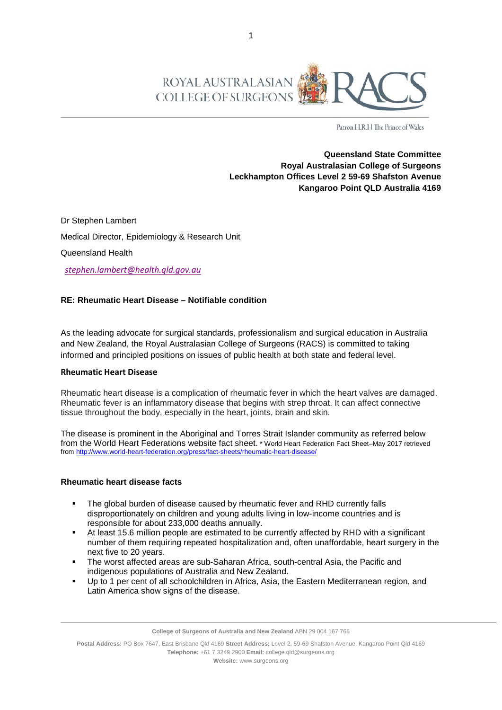

Patron H.R.H The Prince of Wales

**Queensland State Committee Royal Australasian College of Surgeons Leckhampton Offices Level 2 59-69 Shafston Avenue Kangaroo Point QLD Australia 4169**

Dr Stephen Lambert Medical Director, Epidemiology & Research Unit Queensland Health

 *[stephen.lambert@health.qld.gov.au](mailto:stephen.lambert@health.qld.gov.au)*

## **RE: Rheumatic Heart Disease – Notifiable condition**

As the leading advocate for surgical standards, professionalism and surgical education in Australia and New Zealand, the Royal Australasian College of Surgeons (RACS) is committed to taking informed and principled positions on issues of public health at both state and federal level.

## **Rheumatic Heart Disease**

Rheumatic heart disease is a complication of rheumatic fever in which the heart valves are damaged. Rheumatic fever is an inflammatory disease that begins with strep throat. It can affect connective tissue throughout the body, especially in the heart, joints, brain and skin.

The disease is prominent in the Aboriginal and Torres Strait Islander community as referred below from the World Heart Federations website fact sheet. \* World Heart Federation Fact Sheet–May 2017 retrieved from<http://www.world-heart-federation.org/press/fact-sheets/rheumatic-heart-disease/>

## **Rheumatic heart disease facts**

- The global burden of disease caused by rheumatic fever and RHD currently falls disproportionately on children and young adults living in low-income countries and is responsible for about 233,000 deaths annually.
- At least 15.6 million people are estimated to be currently affected by RHD with a significant number of them requiring repeated hospitalization and, often unaffordable, heart surgery in the next five to 20 years.
- The worst affected areas are sub-Saharan Africa, south-central Asia, the Pacific and indigenous populations of Australia and New Zealand.
- Up to 1 per cent of all schoolchildren in Africa, Asia, the Eastern Mediterranean region, and Latin America show signs of the disease.

**College of Surgeons of Australia and New Zealand** ABN 29 004 167 766

**Postal Address:** PO Box 7647, East Brisbane Qld 4169 **Street Address:** Level 2, 59-69 Shafston Avenue, Kangaroo Point Qld 4169 **Telephone:** +61 7 3249 2900 **Email:** college.qld@surgeons.org **Website:** www.surgeons.org